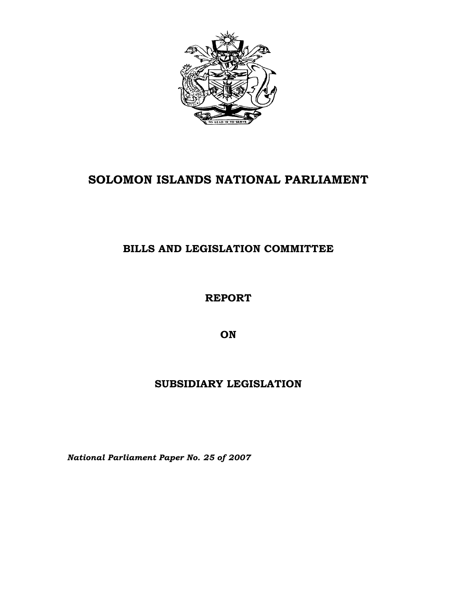

# **SOLOMON ISLANDS NATIONAL PARLIAMENT**

## **BILLS AND LEGISLATION COMMITTEE**

**REPORT** 

**ON** 

## **SUBSIDIARY LEGISLATION**

*National Parliament Paper No. 25 of 2007*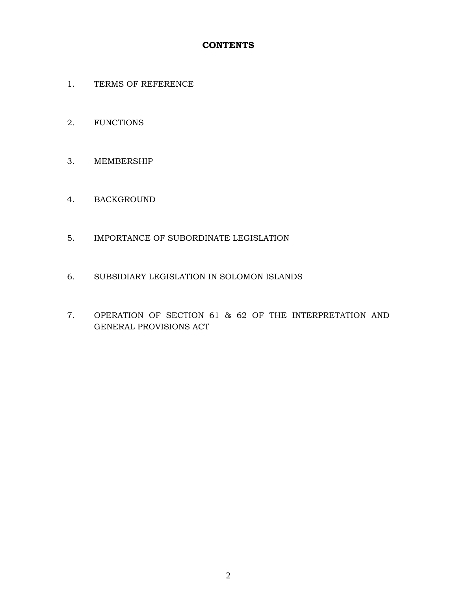### **CONTENTS**

- 1. TERMS OF REFERENCE
- 2. FUNCTIONS
- 3. MEMBERSHIP
- 4. BACKGROUND
- 5. IMPORTANCE OF SUBORDINATE LEGISLATION
- 6. SUBSIDIARY LEGISLATION IN SOLOMON ISLANDS
- 7. OPERATION OF SECTION 61 & 62 OF THE INTERPRETATION AND GENERAL PROVISIONS ACT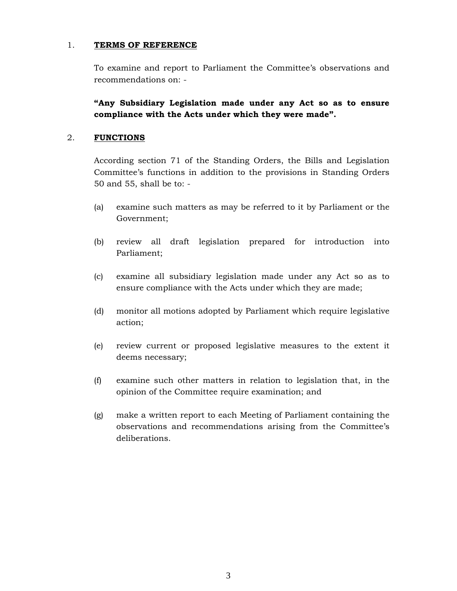#### 1. **TERMS OF REFERENCE**

To examine and report to Parliament the Committee's observations and recommendations on: -

**"Any Subsidiary Legislation made under any Act so as to ensure compliance with the Acts under which they were made".** 

#### 2. **FUNCTIONS**

According section 71 of the Standing Orders, the Bills and Legislation Committee's functions in addition to the provisions in Standing Orders 50 and 55, shall be to: -

- (a) examine such matters as may be referred to it by Parliament or the Government;
- (b) review all draft legislation prepared for introduction into Parliament;
- (c) examine all subsidiary legislation made under any Act so as to ensure compliance with the Acts under which they are made;
- (d) monitor all motions adopted by Parliament which require legislative action;
- (e) review current or proposed legislative measures to the extent it deems necessary;
- (f) examine such other matters in relation to legislation that, in the opinion of the Committee require examination; and
- (g) make a written report to each Meeting of Parliament containing the observations and recommendations arising from the Committee's deliberations.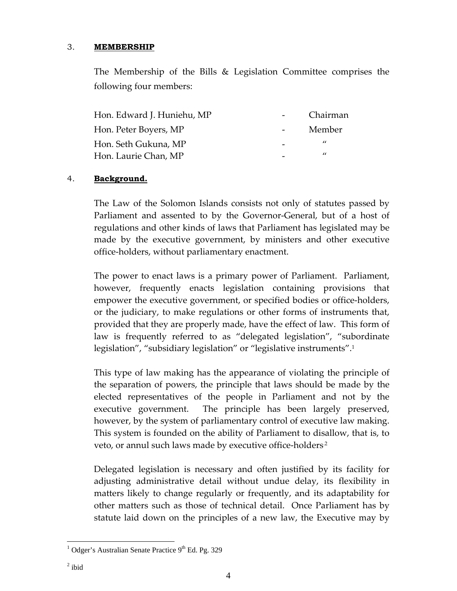### 3. **MEMBERSHIP**

The Membership of the Bills & Legislation Committee comprises the following four members:

| Hon. Edward J. Huniehu, MP | Chairman       |
|----------------------------|----------------|
| Hon. Peter Boyers, MP      | Member         |
| Hon. Seth Gukuna, MP       | $\prime\prime$ |
| Hon. Laurie Chan, MP       | "              |

### 4. **Background.**

The Law of the Solomon Islands consists not only of statutes passed by Parliament and assented to by the Governor‐General, but of a host of regulations and other kinds of laws that Parliament has legislated may be made by the executive government, by ministers and other executive office‐holders, without parliamentary enactment.

The power to enact laws is a primary power of Parliament. Parliament, however, frequently enacts legislation containing provisions that empower the executive government, or specified bodies or office-holders, or the judiciary, to make regulations or other forms of instruments that, provided that they are properly made, have the effect of law. This form of law is frequently referred to as "delegated legislation", "subordinate legislation", "subsidiary legislation" or "legislative instruments".<sup>1</sup>

This type of law making has the appearance of violating the principle of the separation of powers, the principle that laws should be made by the elected representatives of the people in Parliament and not by the executive government. The principle has been largely preserved, however, by the system of parliamentary control of executive law making. This system is founded on the ability of Parliament to disallow, that is, to veto, or annul such laws made by executive office-holders<sup>2</sup>

Delegated legislation is necessary and often justified by its facility for adjusting administrative detail without undue delay, its flexibility in matters likely to change regularly or frequently, and its adaptability for other matters such as those of technical detail. Once Parliament has by statute laid down on the principles of a new law, the Executive may by

 $\overline{a}$  $1$  Odger's Australian Senate Practice 9<sup>th</sup> Ed. Pg. 329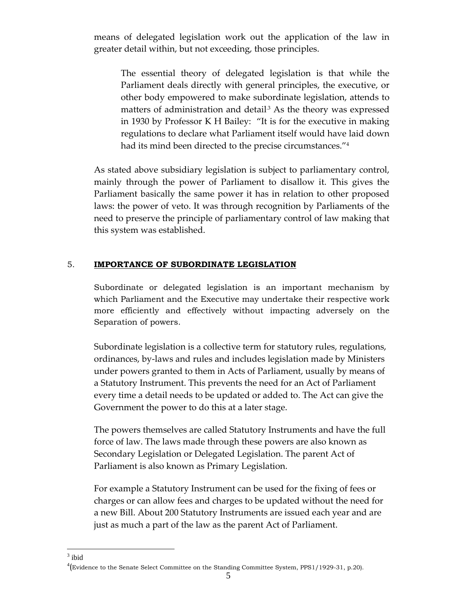means of delegated legislation work out the application of the law in greater detail within, but not exceeding, those principles.

The essential theory of delegated legislation is that while the Parliament deals directly with general principles, the executive, or other body empowered to make subordinate legislation, attends to matters of administration and detail<sup>3</sup> As the theory was expressed in 1930 by Professor K H Bailey: "It is for the executive in making regulations to declare what Parliament itself would have laid down had its mind been directed to the precise circumstances.<sup>"4</sup>

As stated above subsidiary legislation is subject to parliamentary control, mainly through the power of Parliament to disallow it. This gives the Parliament basically the same power it has in relation to other proposed laws: the power of veto. It was through recognition by Parliaments of the need to preserve the principle of parliamentary control of law making that this system was established.

### 5. **IMPORTANCE OF SUBORDINATE LEGISLATION**

Subordinate or delegated legislation is an important mechanism by which Parliament and the Executive may undertake their respective work more efficiently and effectively without impacting adversely on the Separation of powers.

Subordinate legislation is a collective term for statutory rules, regulations, ordinances, by‐laws and rules and includes legislation made by Ministers under powers granted to them in Acts of Parliament, usually by means of a Statutory Instrument. This prevents the need for an Act of Parliament every time a detail needs to be updated or added to. The Act can give the Government the power to do this at a later stage.

The powers themselves are called Statutory Instruments and have the full force of law. The laws made through these powers are also known as Secondary Legislation or Delegated Legislation. The parent Act of Parliament is also known as Primary Legislation.

For example a Statutory Instrument can be used for the fixing of fees or charges or can allow fees and charges to be updated without the need for a new Bill. About 200 Statutory Instruments are issued each year and are just as much a part of the law as the parent Act of Parliament.

 $\frac{1}{3}$  ibid

<sup>4</sup> (Evidence to the Senate Select Committee on the Standing Committee System, PPS1/1929-31, p.20).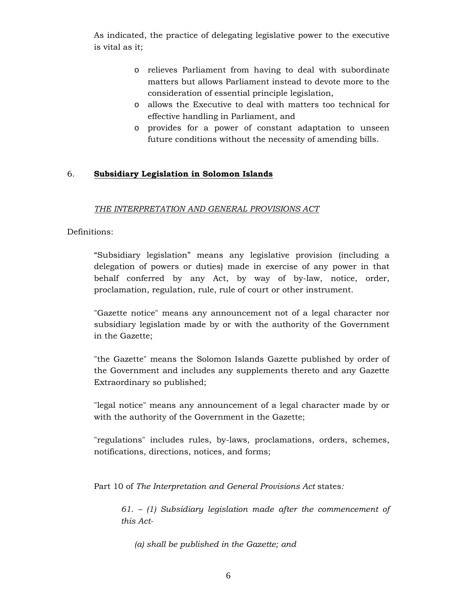As indicated, the practice of delegating legislative power to the executive is vital as it;

- o relieves Parliament from having to deal with subordinate matters but allows Parliament instead to devote more to the consideration of essential principle legislation,
- o allows the Executive to deal with matters too technical for effective handling in Parliament, and
- o provides for a power of constant adaptation to unseen future conditions without the necessity of amending bills.

### 6. **Subsidiary Legislation in Solomon Islands**

#### *THE INTERPRETATION AND GENERAL PROVISIONS ACT*

#### Definitions:

"Subsidiary legislation" means any legislative provision (including a delegation of powers or duties) made in exercise of any power in that behalf conferred by any Act, by way of by-law, notice, order, proclamation, regulation, rule, rule of court or other instrument.

"Gazette notice" means any announcement not of a legal character nor subsidiary legislation made by or with the authority of the Government in the Gazette;

"the Gazette" means the Solomon Islands Gazette published by order of the Government and includes any supplements thereto and any Gazette Extraordinary so published;

"legal notice" means any announcement of a legal character made by or with the authority of the Government in the Gazette;

"regulations" includes rules, by-laws, proclamations, orders, schemes, notifications, directions, notices, and forms;

Part 10 of *The Interpretation and General Provisions Act* states*:* 

*61. – (1) Subsidiary legislation made after the commencement of this Act-* 

*(a) shall be published in the Gazette; and*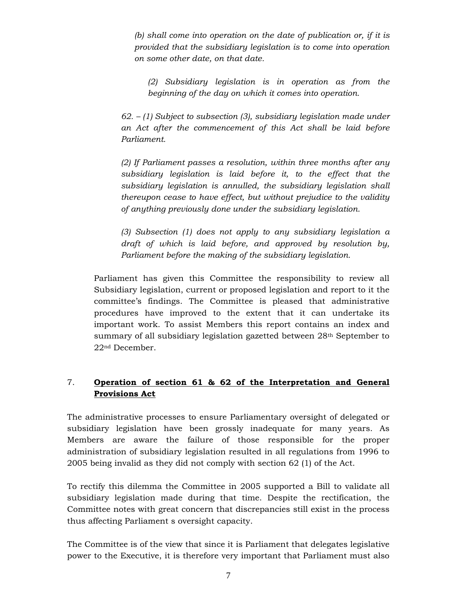*(b) shall come into operation on the date of publication or, if it is provided that the subsidiary legislation is to come into operation on some other date, on that date.* 

*(2) Subsidiary legislation is in operation as from the beginning of the day on which it comes into operation.* 

*62. – (1) Subject to subsection (3), subsidiary legislation made under an Act after the commencement of this Act shall be laid before Parliament.* 

*(2) If Parliament passes a resolution, within three months after any subsidiary legislation is laid before it, to the effect that the subsidiary legislation is annulled, the subsidiary legislation shall thereupon cease to have effect, but without prejudice to the validity of anything previously done under the subsidiary legislation.* 

*(3) Subsection (1) does not apply to any subsidiary legislation a draft of which is laid before, and approved by resolution by, Parliament before the making of the subsidiary legislation.* 

Parliament has given this Committee the responsibility to review all Subsidiary legislation, current or proposed legislation and report to it the committee's findings. The Committee is pleased that administrative procedures have improved to the extent that it can undertake its important work. To assist Members this report contains an index and summary of all subsidiary legislation gazetted between 28<sup>th</sup> September to 22nd December.

### 7. **Operation of section 61 & 62 of the Interpretation and General Provisions Act**

The administrative processes to ensure Parliamentary oversight of delegated or subsidiary legislation have been grossly inadequate for many years. As Members are aware the failure of those responsible for the proper administration of subsidiary legislation resulted in all regulations from 1996 to 2005 being invalid as they did not comply with section 62 (1) of the Act.

To rectify this dilemma the Committee in 2005 supported a Bill to validate all subsidiary legislation made during that time. Despite the rectification, the Committee notes with great concern that discrepancies still exist in the process thus affecting Parliament s oversight capacity.

The Committee is of the view that since it is Parliament that delegates legislative power to the Executive, it is therefore very important that Parliament must also